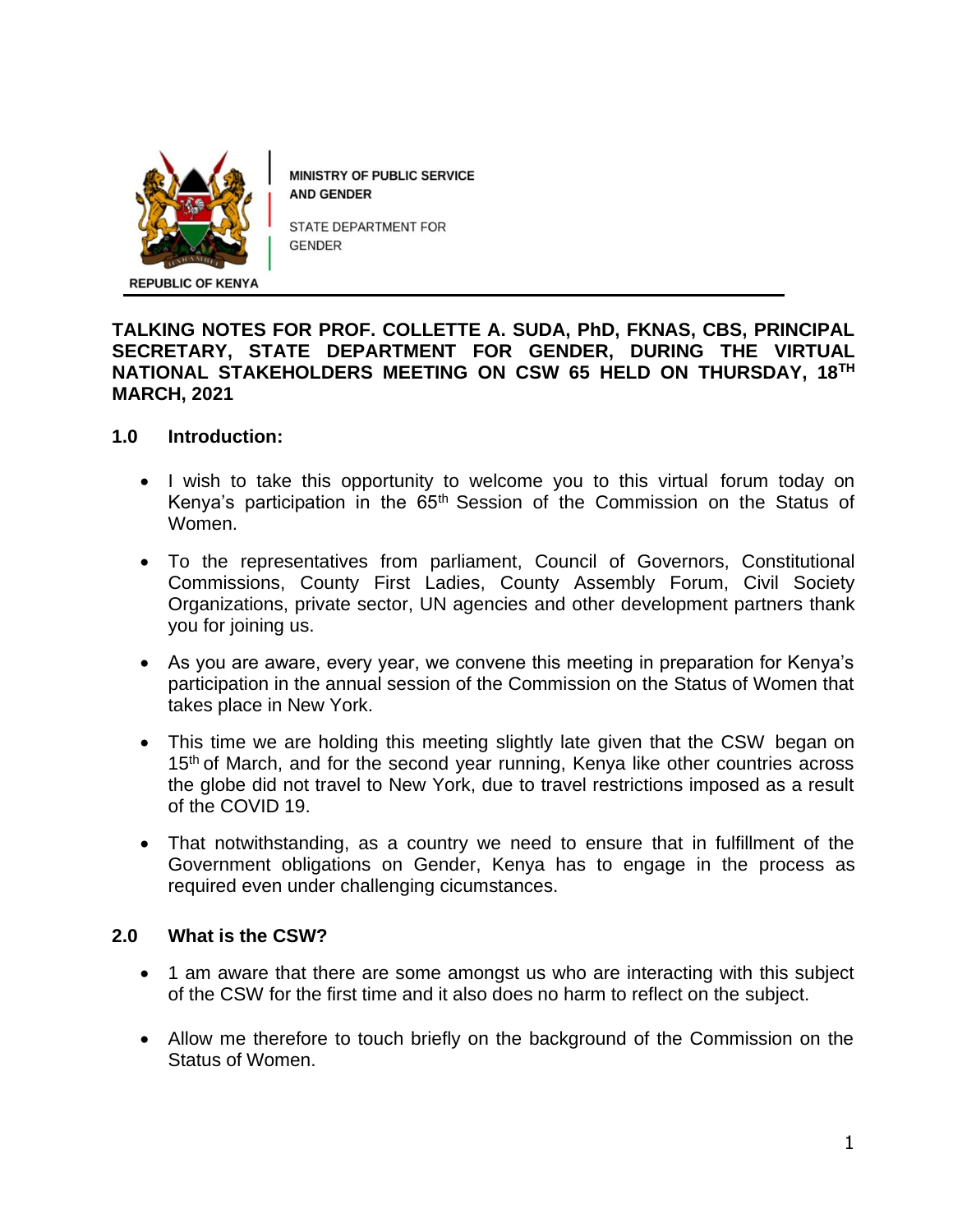

MINISTRY OF PUBLIC SERVICE **AND GENDER** 

STATE DEPARTMENT FOR **GENDER** 

## **TALKING NOTES FOR PROF. COLLETTE A. SUDA, PhD, FKNAS, CBS, PRINCIPAL SECRETARY, STATE DEPARTMENT FOR GENDER, DURING THE VIRTUAL NATIONAL STAKEHOLDERS MEETING ON CSW 65 HELD ON THURSDAY, 18TH MARCH, 2021**

## **1.0 Introduction:**

- I wish to take this opportunity to welcome you to this virtual forum today on Kenya's participation in the 65<sup>th</sup> Session of the Commission on the Status of Women.
- To the representatives from parliament, Council of Governors, Constitutional Commissions, County First Ladies, County Assembly Forum, Civil Society Organizations, private sector, UN agencies and other development partners thank you for joining us.
- As you are aware, every year, we convene this meeting in preparation for Kenya's participation in the annual session of the Commission on the Status of Women that takes place in New York.
- This time we are holding this meeting slightly late given that the CSW began on 15<sup>th</sup> of March, and for the second year running, Kenya like other countries across the globe did not travel to New York, due to travel restrictions imposed as a result of the COVID 19.
- That notwithstanding, as a country we need to ensure that in fulfillment of the Government obligations on Gender, Kenya has to engage in the process as required even under challenging cicumstances.

#### **2.0 What is the CSW?**

- 1 am aware that there are some amongst us who are interacting with this subject of the CSW for the first time and it also does no harm to reflect on the subject.
- Allow me therefore to touch briefly on the background of the Commission on the Status of Women.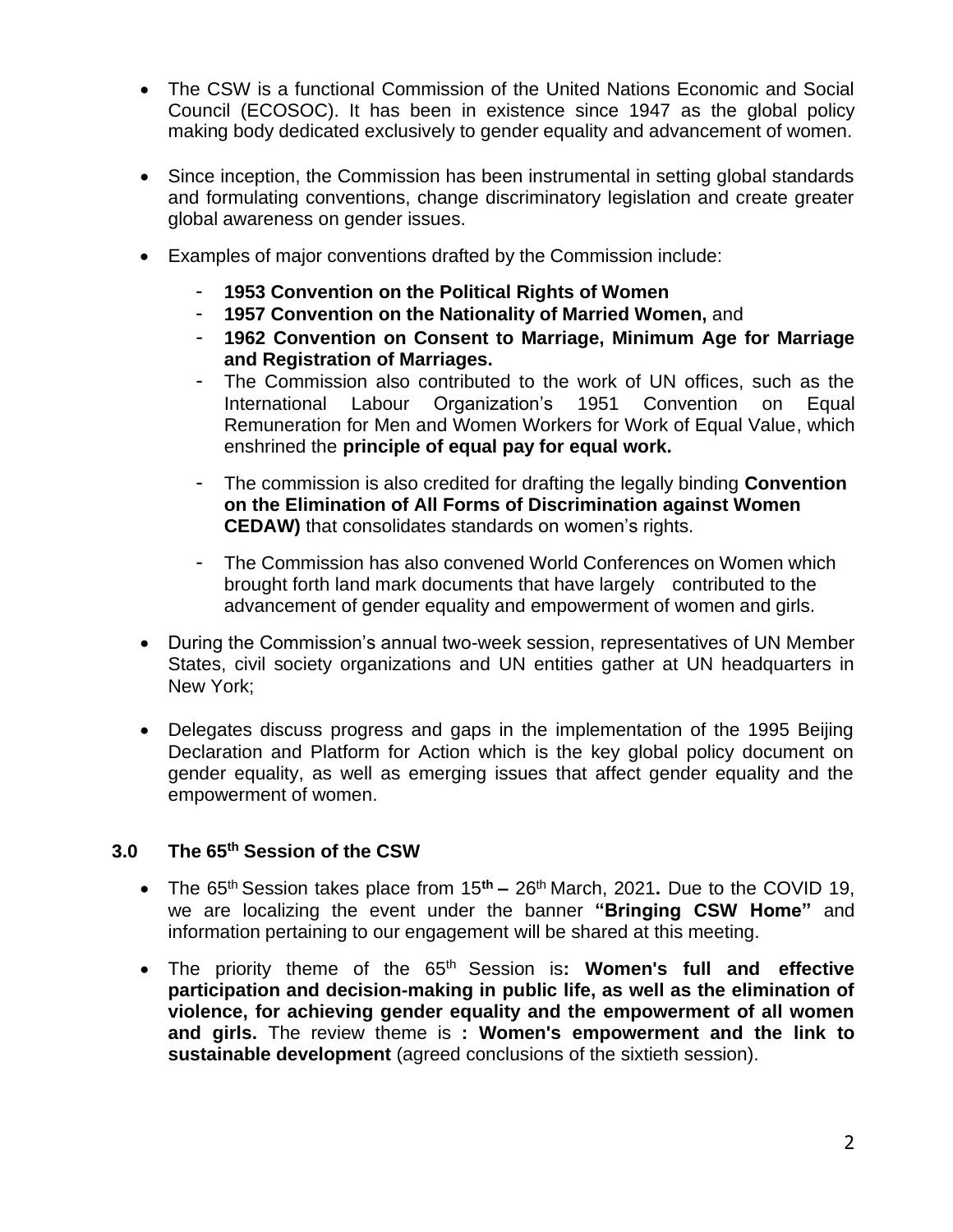- The CSW is a functional Commission of the United Nations Economic and Social Council (ECOSOC). It has been in existence since 1947 as the global policy making body dedicated exclusively to gender equality and advancement of women.
- Since inception, the Commission has been instrumental in setting global standards and formulating conventions, change discriminatory legislation and create greater global awareness on gender issues.
- Examples of major conventions drafted by the Commission include:
	- **1953 [Convention](http://treaties.un.org/Pages/ViewDetails.aspx?src=TREATY&mtdsg_no=XVI-1&chapter=16&lang=en) on the Political Rights of Women**
	- **1957 [Convention](http://treaties.un.org/Pages/ViewDetailsIII.aspx?&src=TREATY&mtdsg_no=XVI~2&chapter=16&Temp=mtdsg3&lang=en) on the Nationality of Married Women,** and
	- **1962 [Convention on Consent to Marriage, Minimum Age for Marriage](http://treaties.un.org/Pages/ViewDetails.aspx?src=TREATY&mtdsg_no=XVI-3&chapter=16&lang=en) and [Registration](http://treaties.un.org/Pages/ViewDetails.aspx?src=TREATY&mtdsg_no=XVI-3&chapter=16&lang=en) of Marriages.**
	- The Commission also contributed to the work of UN offices, such as the International Labour Organization's 1951 [Convention](http://www.ilo.org/declaration/info/factsheets/WCMS_DECL_FS_84_EN/lang--en/index.htm) on Equal [Remuneration for Men and Women Workers for Work of Equal Value,](http://www.ilo.org/declaration/info/factsheets/WCMS_DECL_FS_84_EN/lang--en/index.htm) which enshrined the **principle of equal pay for equal work.**
	- The commission is also credited for drafting the legally binding **[Convention](http://www2.ohchr.org/english/law/cedaw.htm) [on the Elimination of All Forms of Discrimination against Women](http://www2.ohchr.org/english/law/cedaw.htm) CEDAW)** that consolidates standards on women's rights.
	- The Commission has also convened World Conferences on Women which brought forth land mark documents that have largely contributed to the advancement of gender equality and empowerment of women and girls.
- During the Commission's annual two-week session, representatives of UN Member States, civil society organizations and UN entities gather at UN headquarters in New York;
- Delegates discuss progress and gaps in the implementation of the 1995 Beijing Declaration and Platform for Action which is the key global policy document on gender equality, as well as emerging issues that affect gender equality and the empowerment of women.

#### **3.0 The 65th Session of the CSW**

- The 65<sup>th</sup> Session takes place from 15<sup>th</sup> 26<sup>th</sup> March, 2021. Due to the COVID 19, we are localizing the event under the banner **"Bringing CSW Home"** and information pertaining to our engagement will be shared at this meeting.
- The priority theme of the 65th Session is**: Women's full and effective participation and decision-making in public life, as well as the elimination of violence, for achieving gender equality and the empowerment of all women and girls.** The review theme is **: Women's empowerment and the link to sustainable development** [\(agreed conclusions](https://www.unwomen.org/en/csw/outcomes#60) of the sixtieth session).